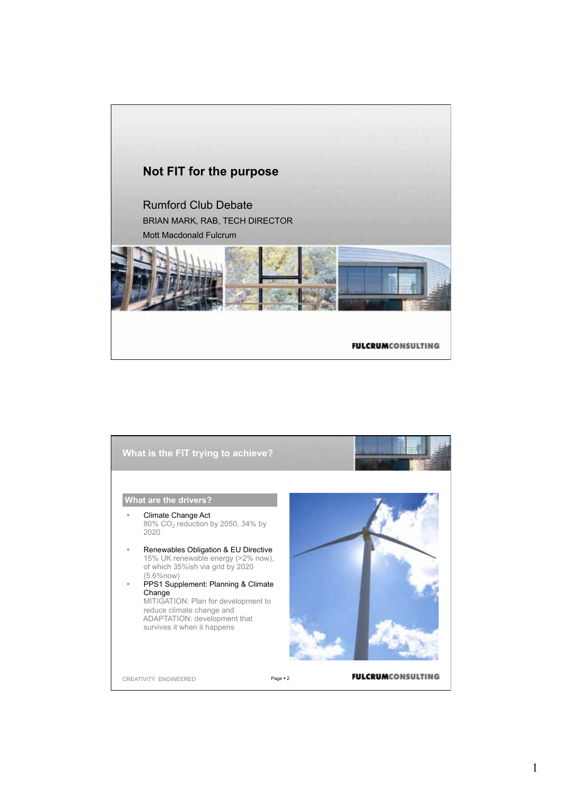

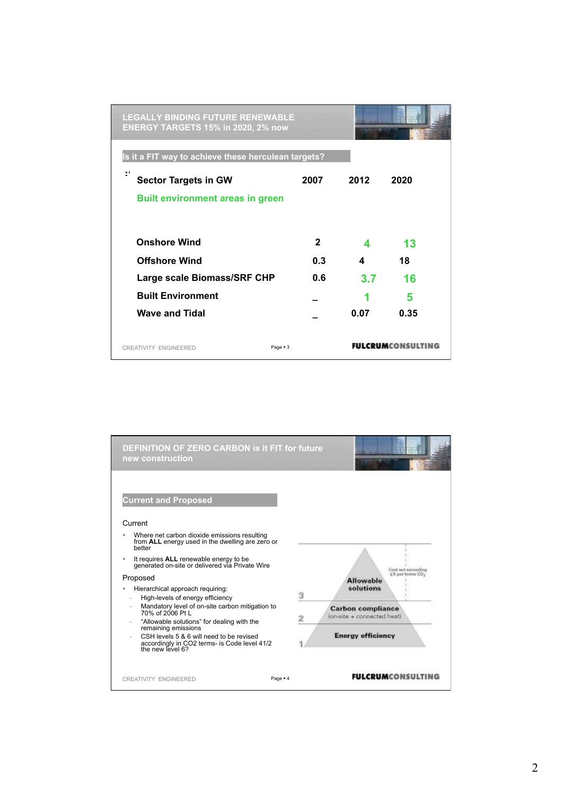| <b>LEGALLY BINDING FUTURE RENEWABLE</b><br><b>ENERGY TARGETS 15% in 2020, 2% now</b> |             |      |      |
|--------------------------------------------------------------------------------------|-------------|------|------|
| Is it a FIT way to achieve these herculean targets?                                  |             |      |      |
| ÷<br><b>Sector Targets in GW</b>                                                     | 2007        | 2012 | 2020 |
| <b>Built environment areas in green</b>                                              |             |      |      |
| <b>Onshore Wind</b>                                                                  | $\mathbf 2$ | 4    | 13   |
| <b>Offshore Wind</b>                                                                 | 0.3         | 4    | 18   |
| Large scale Biomass/SRF CHP                                                          | 0.6         | 3.7  | 16   |
| <b>Built Environment</b>                                                             |             | 1    | 5    |
| <b>Wave and Tidal</b>                                                                |             | 0.07 | 0.35 |
| Page $-3$<br>CREATIVITY ENGINEERED                                                   |             |      |      |

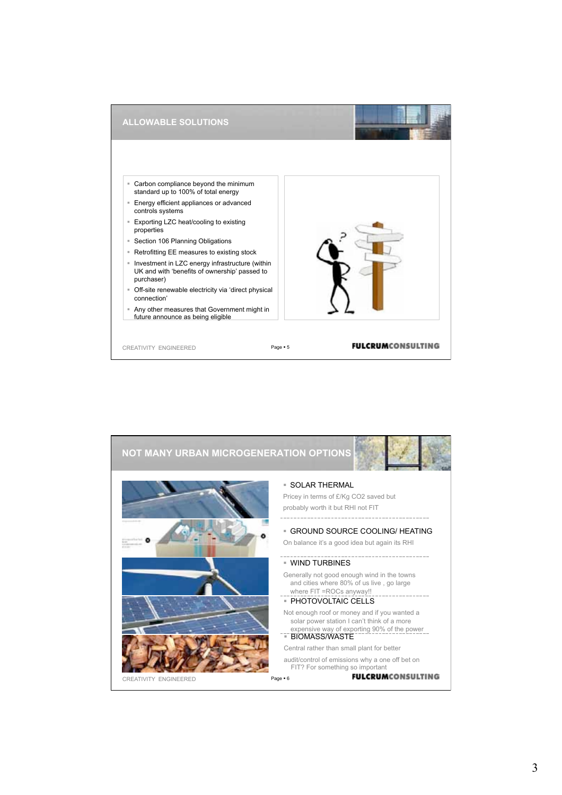